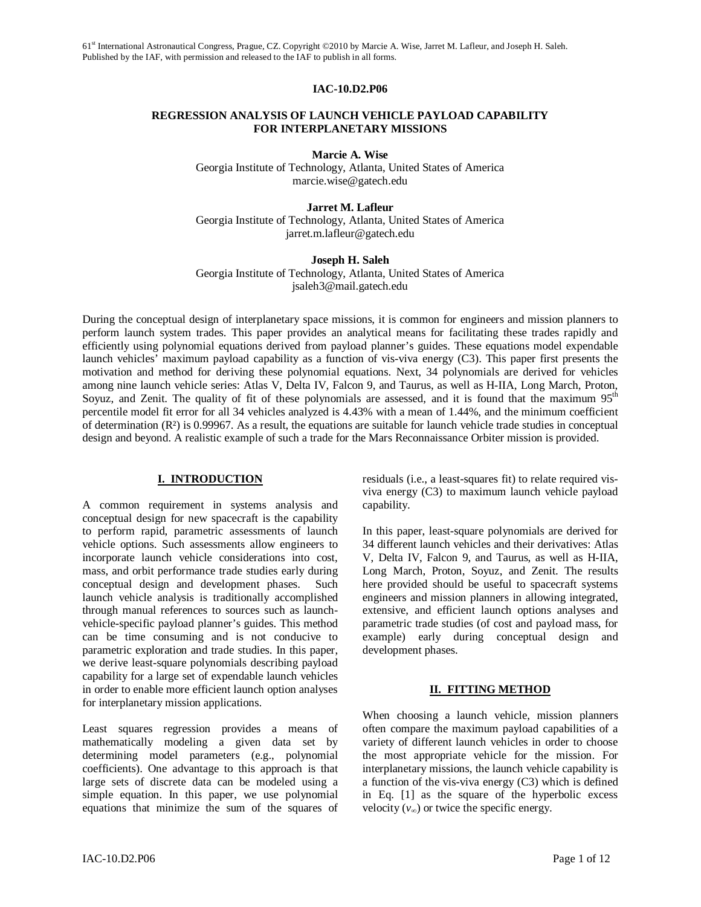### **IAC-10.D2.P06**

### **REGRESSION ANALYSIS OF LAUNCH VEHICLE PAYLOAD CAPABILITY FOR INTERPLANETARY MISSIONS**

**Marcie A. Wise** 

Georgia Institute of Technology, Atlanta, United States of America marcie.wise@gatech.edu

**Jarret M. Lafleur**  Georgia Institute of Technology, Atlanta, United States of America jarret.m.lafleur@gatech.edu

**Joseph H. Saleh** 

Georgia Institute of Technology, Atlanta, United States of America jsaleh3@mail.gatech.edu

During the conceptual design of interplanetary space missions, it is common for engineers and mission planners to perform launch system trades. This paper provides an analytical means for facilitating these trades rapidly and efficiently using polynomial equations derived from payload planner's guides. These equations model expendable launch vehicles' maximum payload capability as a function of vis-viva energy (C3). This paper first presents the motivation and method for deriving these polynomial equations. Next, 34 polynomials are derived for vehicles among nine launch vehicle series: Atlas V, Delta IV, Falcon 9, and Taurus, as well as H-IIA, Long March, Proton, Soyuz, and Zenit. The quality of fit of these polynomials are assessed, and it is found that the maximum 95<sup>th</sup> percentile model fit error for all 34 vehicles analyzed is 4.43% with a mean of 1.44%, and the minimum coefficient of determination  $(R<sup>2</sup>)$  is 0.99967. As a result, the equations are suitable for launch vehicle trade studies in conceptual design and beyond. A realistic example of such a trade for the Mars Reconnaissance Orbiter mission is provided.

### **I. INTRODUCTION**

A common requirement in systems analysis and conceptual design for new spacecraft is the capability to perform rapid, parametric assessments of launch vehicle options. Such assessments allow engineers to incorporate launch vehicle considerations into cost, mass, and orbit performance trade studies early during conceptual design and development phases. Such launch vehicle analysis is traditionally accomplished through manual references to sources such as launchvehicle-specific payload planner's guides. This method can be time consuming and is not conducive to parametric exploration and trade studies. In this paper, we derive least-square polynomials describing payload capability for a large set of expendable launch vehicles in order to enable more efficient launch option analyses for interplanetary mission applications.

Least squares regression provides a means of mathematically modeling a given data set by determining model parameters (e.g., polynomial coefficients). One advantage to this approach is that large sets of discrete data can be modeled using a simple equation. In this paper, we use polynomial equations that minimize the sum of the squares of residuals (i.e., a least-squares fit) to relate required visviva energy (C3) to maximum launch vehicle payload capability.

In this paper, least-square polynomials are derived for 34 different launch vehicles and their derivatives: Atlas V, Delta IV, Falcon 9, and Taurus, as well as H-IIA, Long March, Proton, Soyuz, and Zenit. The results here provided should be useful to spacecraft systems engineers and mission planners in allowing integrated, extensive, and efficient launch options analyses and parametric trade studies (of cost and payload mass, for example) early during conceptual design and development phases.

# **II. FITTING METHOD**

When choosing a launch vehicle, mission planners often compare the maximum payload capabilities of a variety of different launch vehicles in order to choose the most appropriate vehicle for the mission. For interplanetary missions, the launch vehicle capability is a function of the vis-viva energy (C3) which is defined in Eq. [1] as the square of the hyperbolic excess velocity  $(v_{\infty})$  or twice the specific energy.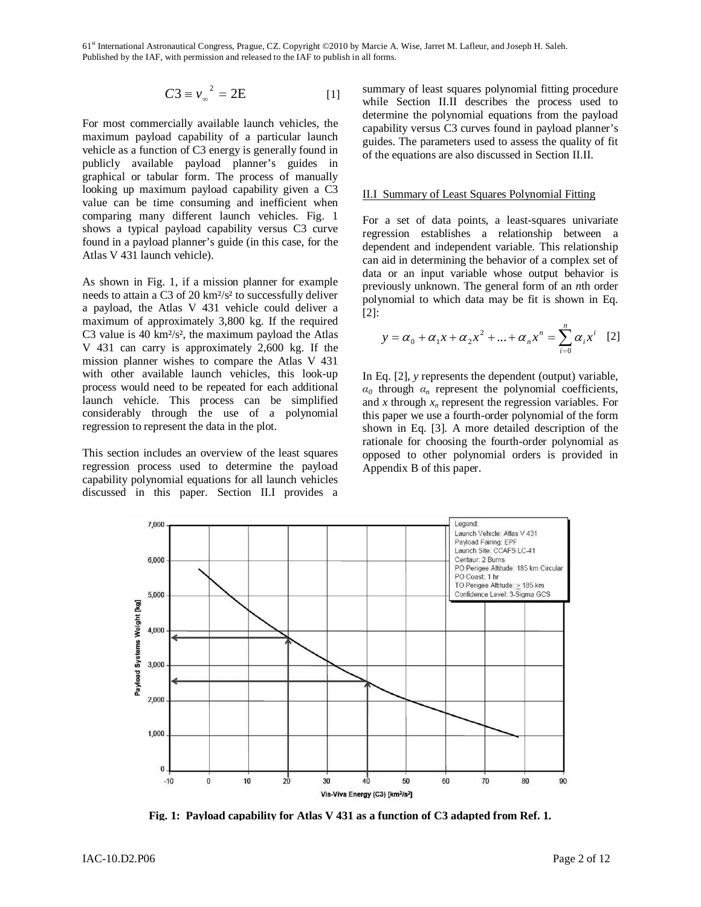$$
C3 \equiv v_{\infty}^2 = 2E \tag{1}
$$

For most commercially available launch vehicles, the maximum payload capability of a particular launch vehicle as a function of C3 energy is generally found in publicly available payload planner's guides in graphical or tabular form. The process of manually looking up maximum payload capability given a C3 value can be time consuming and inefficient when comparing many different launch vehicles. Fig. 1 shows a typical payload capability versus C3 curve found in a payload planner's guide (in this case, for the Atlas V 431 launch vehicle).

As shown in Fig. 1, if a mission planner for example needs to attain a C3 of 20 km²/s² to successfully deliver a payload, the Atlas V 431 vehicle could deliver a maximum of approximately 3,800 kg. If the required C3 value is 40  $km^2/s^2$ , the maximum payload the Atlas V 431 can carry is approximately 2,600 kg. If the mission planner wishes to compare the Atlas V 431 with other available launch vehicles, this look-up process would need to be repeated for each additional launch vehicle. This process can be simplified considerably through the use of a polynomial regression to represent the data in the plot.

This section includes an overview of the least squares regression process used to determine the payload capability polynomial equations for all launch vehicles discussed in this paper. Section II.I provides a summary of least squares polynomial fitting procedure while Section II.II describes the process used to determine the polynomial equations from the payload capability versus C3 curves found in payload planner's guides. The parameters used to assess the quality of fit of the equations are also discussed in Section II.II.

### II.I Summary of Least Squares Polynomial Fitting

For a set of data points, a least-squares univariate regression establishes a relationship between a dependent and independent variable. This relationship can aid in determining the behavior of a complex set of data or an input variable whose output behavior is previously unknown. The general form of an *n*th order polynomial to which data may be fit is shown in Eq. [2]:

$$
y = \alpha_0 + \alpha_1 x + \alpha_2 x^2 + \dots + \alpha_n x^n = \sum_{i=0}^{n} \alpha_i x^i
$$
 [2]

In Eq. [2], *y* represents the dependent (output) variable,  $\alpha_0$  through  $\alpha_n$  represent the polynomial coefficients, and *x* through *xn* represent the regression variables. For this paper we use a fourth-order polynomial of the form shown in Eq. [3]. A more detailed description of the rationale for choosing the fourth-order polynomial as opposed to other polynomial orders is provided in Appendix B of this paper.



**Fig. 1: Payload capability for Atlas V 431 as a function of C3 adapted from Ref. 1.**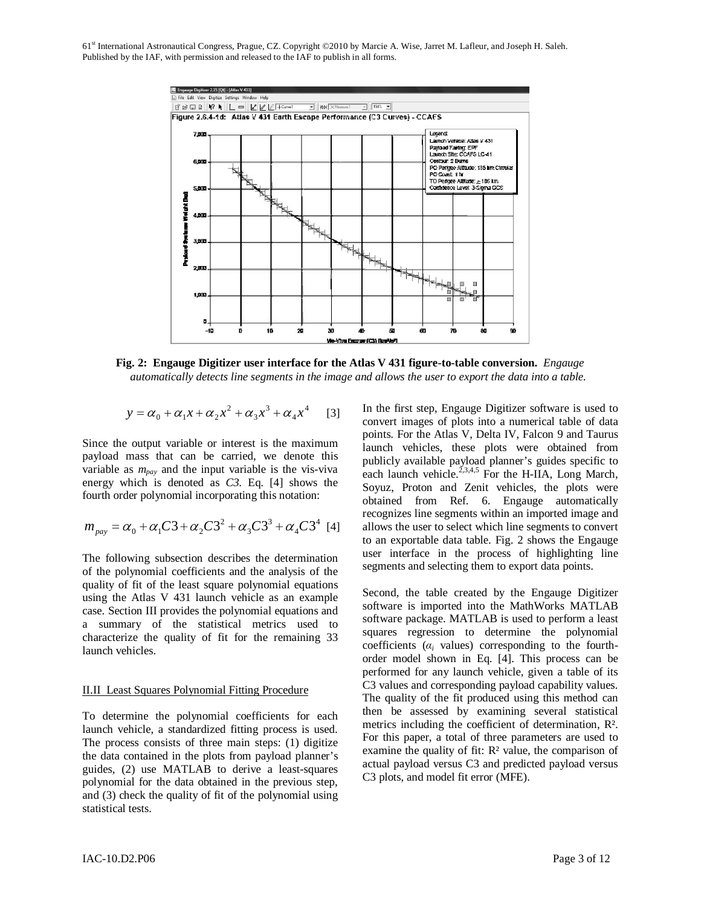

**Fig. 2: Engauge Digitizer user interface for the Atlas V 431 figure-to-table conversion.** *Engauge automatically detects line segments in the image and allows the user to export the data into a table.*

$$
y = \alpha_0 + \alpha_1 x + \alpha_2 x^2 + \alpha_3 x^3 + \alpha_4 x^4
$$
 [3]

Since the output variable or interest is the maximum payload mass that can be carried, we denote this variable as *mpay* and the input variable is the vis-viva energy which is denoted as *C3*. Eq. [4] shows the fourth order polynomial incorporating this notation:

$$
m_{\text{pay}} = \alpha_0 + \alpha_1 C3 + \alpha_2 C3^2 + \alpha_3 C3^3 + \alpha_4 C3^4 \text{ [4]}
$$

The following subsection describes the determination of the polynomial coefficients and the analysis of the quality of fit of the least square polynomial equations using the Atlas V 431 launch vehicle as an example case. Section III provides the polynomial equations and a summary of the statistical metrics used to characterize the quality of fit for the remaining 33 launch vehicles.

### II.II Least Squares Polynomial Fitting Procedure

To determine the polynomial coefficients for each launch vehicle, a standardized fitting process is used. The process consists of three main steps: (1) digitize the data contained in the plots from payload planner's guides, (2) use MATLAB to derive a least-squares polynomial for the data obtained in the previous step, and (3) check the quality of fit of the polynomial using statistical tests.

In the first step, Engauge Digitizer software is used to convert images of plots into a numerical table of data points. For the Atlas V, Delta IV, Falcon 9 and Taurus launch vehicles, these plots were obtained from publicly available payload planner's guides specific to each launch vehicle.<sup>2,3,4,5</sup> For the H-IIA, Long March, Soyuz, Proton and Zenit vehicles, the plots were obtained from Ref. 6. Engauge automatically recognizes line segments within an imported image and allows the user to select which line segments to convert to an exportable data table. Fig. 2 shows the Engauge user interface in the process of highlighting line segments and selecting them to export data points.

Second, the table created by the Engauge Digitizer software is imported into the MathWorks MATLAB software package. MATLAB is used to perform a least squares regression to determine the polynomial coefficients  $(a_i$  values) corresponding to the fourthorder model shown in Eq. [4]. This process can be performed for any launch vehicle, given a table of its C3 values and corresponding payload capability values. The quality of the fit produced using this method can then be assessed by examining several statistical metrics including the coefficient of determination, R². For this paper, a total of three parameters are used to examine the quality of fit: R² value, the comparison of actual payload versus C3 and predicted payload versus C3 plots, and model fit error (MFE).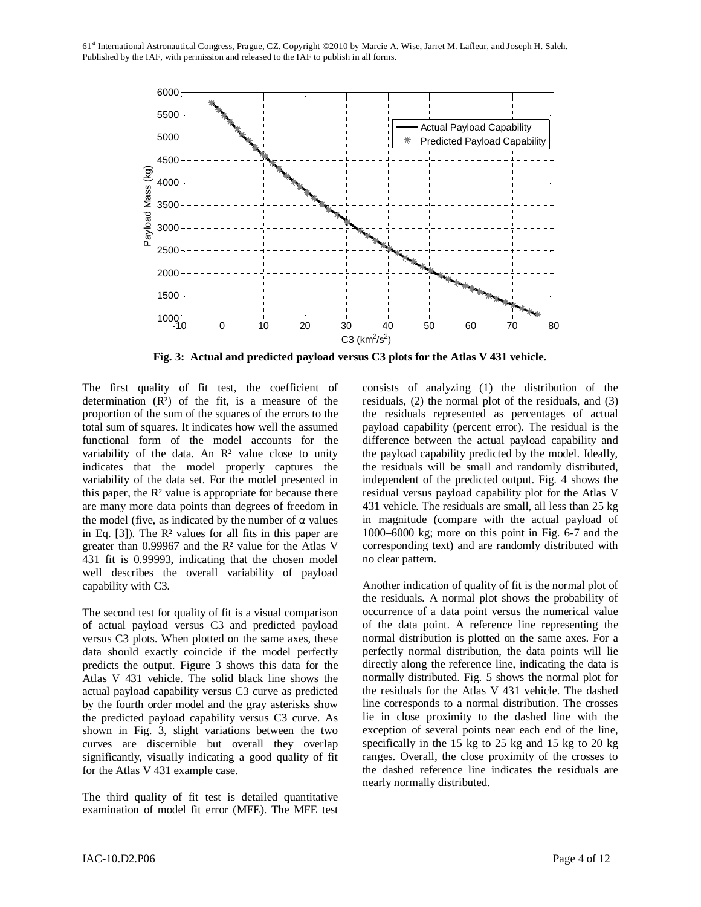

**Fig. 3: Actual and predicted payload versus C3 plots for the Atlas V 431 vehicle.** 

The first quality of fit test, the coefficient of determination  $(R<sup>2</sup>)$  of the fit, is a measure of the proportion of the sum of the squares of the errors to the total sum of squares. It indicates how well the assumed functional form of the model accounts for the variability of the data. An R<sup>2</sup> value close to unity indicates that the model properly captures the variability of the data set. For the model presented in this paper, the  $\mathbb{R}^2$  value is appropriate for because there are many more data points than degrees of freedom in the model (five, as indicated by the number of  $\alpha$  values in Eq.  $[3]$ ). The R<sup>2</sup> values for all fits in this paper are greater than 0.99967 and the R² value for the Atlas V 431 fit is 0.99993, indicating that the chosen model well describes the overall variability of payload capability with C3.

The second test for quality of fit is a visual comparison of actual payload versus C3 and predicted payload versus C3 plots. When plotted on the same axes, these data should exactly coincide if the model perfectly predicts the output. Figure 3 shows this data for the Atlas V 431 vehicle. The solid black line shows the actual payload capability versus C3 curve as predicted by the fourth order model and the gray asterisks show the predicted payload capability versus C3 curve. As shown in Fig. 3, slight variations between the two curves are discernible but overall they overlap significantly, visually indicating a good quality of fit for the Atlas V 431 example case.

The third quality of fit test is detailed quantitative examination of model fit error (MFE). The MFE test consists of analyzing (1) the distribution of the residuals, (2) the normal plot of the residuals, and (3) the residuals represented as percentages of actual payload capability (percent error). The residual is the difference between the actual payload capability and the payload capability predicted by the model. Ideally, the residuals will be small and randomly distributed, independent of the predicted output. Fig. 4 shows the residual versus payload capability plot for the Atlas V 431 vehicle. The residuals are small, all less than 25 kg in magnitude (compare with the actual payload of 1000–6000 kg; more on this point in Fig. 6-7 and the corresponding text) and are randomly distributed with no clear pattern.

Another indication of quality of fit is the normal plot of the residuals. A normal plot shows the probability of occurrence of a data point versus the numerical value of the data point. A reference line representing the normal distribution is plotted on the same axes. For a perfectly normal distribution, the data points will lie directly along the reference line, indicating the data is normally distributed. Fig. 5 shows the normal plot for the residuals for the Atlas V 431 vehicle. The dashed line corresponds to a normal distribution. The crosses lie in close proximity to the dashed line with the exception of several points near each end of the line, specifically in the 15 kg to 25 kg and 15 kg to 20 kg ranges. Overall, the close proximity of the crosses to the dashed reference line indicates the residuals are nearly normally distributed.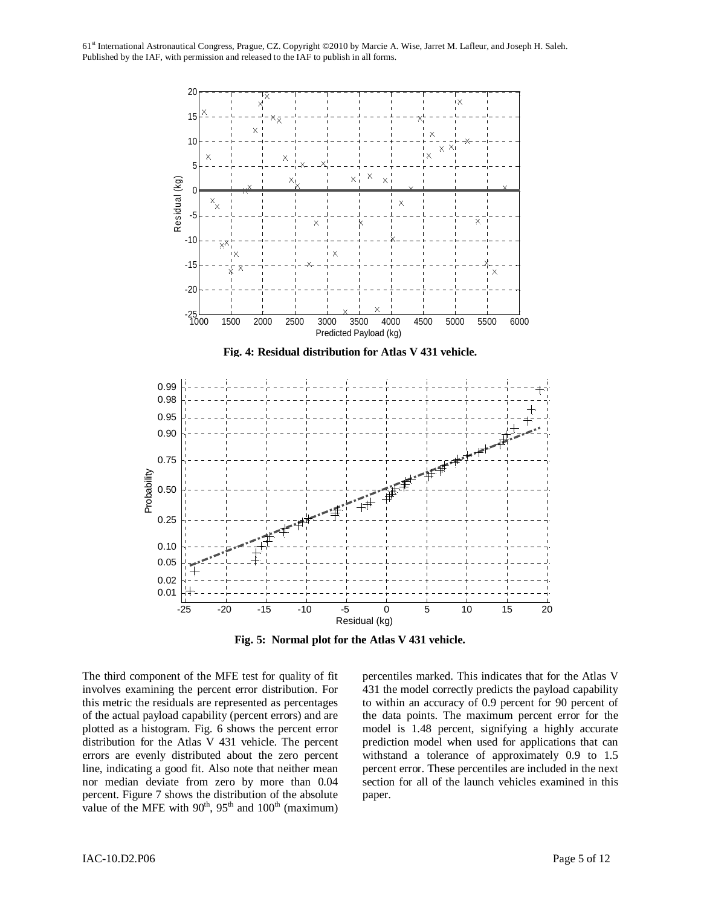

**Fig. 5: Normal plot for the Atlas V 431 vehicle.**

The third component of the MFE test for quality of fit involves examining the percent error distribution. For this metric the residuals are represented as percentages of the actual payload capability (percent errors) and are plotted as a histogram. Fig. 6 shows the percent error distribution for the Atlas V 431 vehicle. The percent errors are evenly distributed about the zero percent line, indicating a good fit. Also note that neither mean nor median deviate from zero by more than 0.04 percent. Figure 7 shows the distribution of the absolute value of the MFE with  $90<sup>th</sup>$ ,  $95<sup>th</sup>$  and  $100<sup>th</sup>$  (maximum)

percentiles marked. This indicates that for the Atlas V 431 the model correctly predicts the payload capability to within an accuracy of 0.9 percent for 90 percent of the data points. The maximum percent error for the model is 1.48 percent, signifying a highly accurate prediction model when used for applications that can withstand a tolerance of approximately 0.9 to 1.5 percent error. These percentiles are included in the next section for all of the launch vehicles examined in this paper.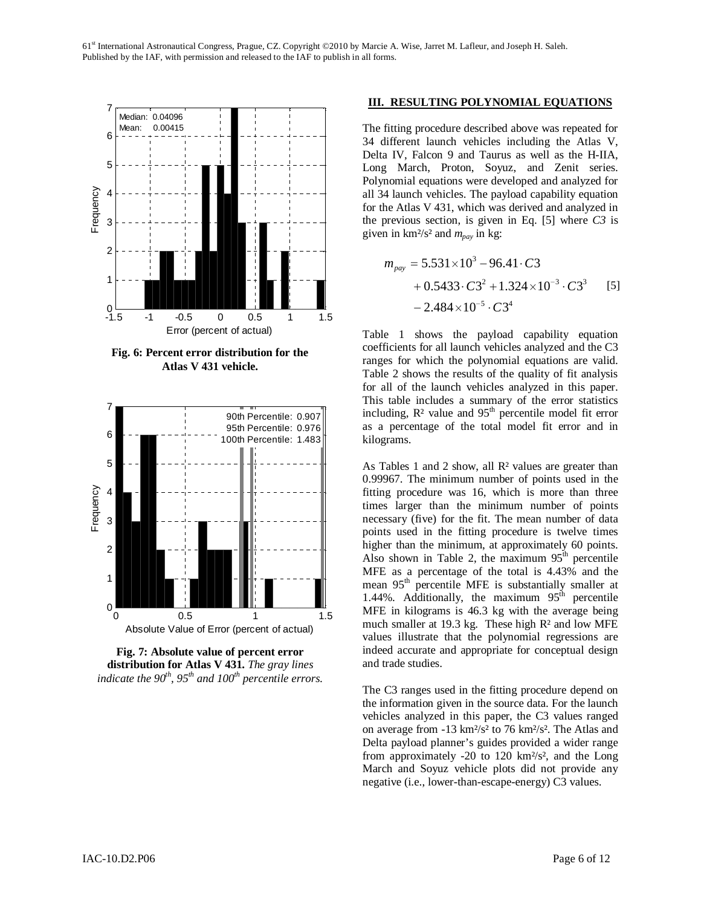

**Fig. 6: Percent error distribution for the Atlas V 431 vehicle.** 



**Fig. 7: Absolute value of percent error distribution for Atlas V 431.** *The gray lines indicate the 90th, 95th and 100th percentile errors.*

### **III. RESULTING POLYNOMIAL EQUATIONS**

The fitting procedure described above was repeated for 34 different launch vehicles including the Atlas V, Delta IV, Falcon 9 and Taurus as well as the H-IIA, Long March, Proton, Soyuz, and Zenit series. Polynomial equations were developed and analyzed for all 34 launch vehicles. The payload capability equation for the Atlas V 431, which was derived and analyzed in the previous section, is given in Eq. [5] where *C3* is given in  $km^2/s^2$  and  $m_{pav}$  in kg:

$$
m_{pay} = 5.531 \times 10^3 - 96.41 \cdot C3 + 0.5433 \cdot C3^2 + 1.324 \times 10^{-3} \cdot C3^3
$$
 [5]  
- 2.484 × 10<sup>-5</sup> · C3<sup>4</sup>

Table 1 shows the payload capability equation coefficients for all launch vehicles analyzed and the C3 ranges for which the polynomial equations are valid. Table 2 shows the results of the quality of fit analysis for all of the launch vehicles analyzed in this paper. This table includes a summary of the error statistics including,  $R^2$  value and  $95<sup>th</sup>$  percentile model fit error as a percentage of the total model fit error and in kilograms.

As Tables 1 and 2 show, all  $\mathbb{R}^2$  values are greater than 0.99967. The minimum number of points used in the fitting procedure was 16, which is more than three times larger than the minimum number of points necessary (five) for the fit. The mean number of data points used in the fitting procedure is twelve times higher than the minimum, at approximately 60 points. Also shown in Table 2, the maximum  $95<sup>th</sup>$  percentile MFE as a percentage of the total is 4.43% and the mean 95<sup>th</sup> percentile MFE is substantially smaller at 1.44%. Additionally, the maximum  $95<sup>th</sup>$  percentile MFE in kilograms is 46.3 kg with the average being much smaller at 19.3 kg. These high R² and low MFE values illustrate that the polynomial regressions are indeed accurate and appropriate for conceptual design and trade studies.

The C3 ranges used in the fitting procedure depend on the information given in the source data. For the launch vehicles analyzed in this paper, the C3 values ranged on average from -13 km²/s² to 76 km²/s². The Atlas and Delta payload planner's guides provided a wider range from approximately -20 to 120  $km^2/s^2$ , and the Long March and Soyuz vehicle plots did not provide any negative (i.e., lower-than-escape-energy) C3 values.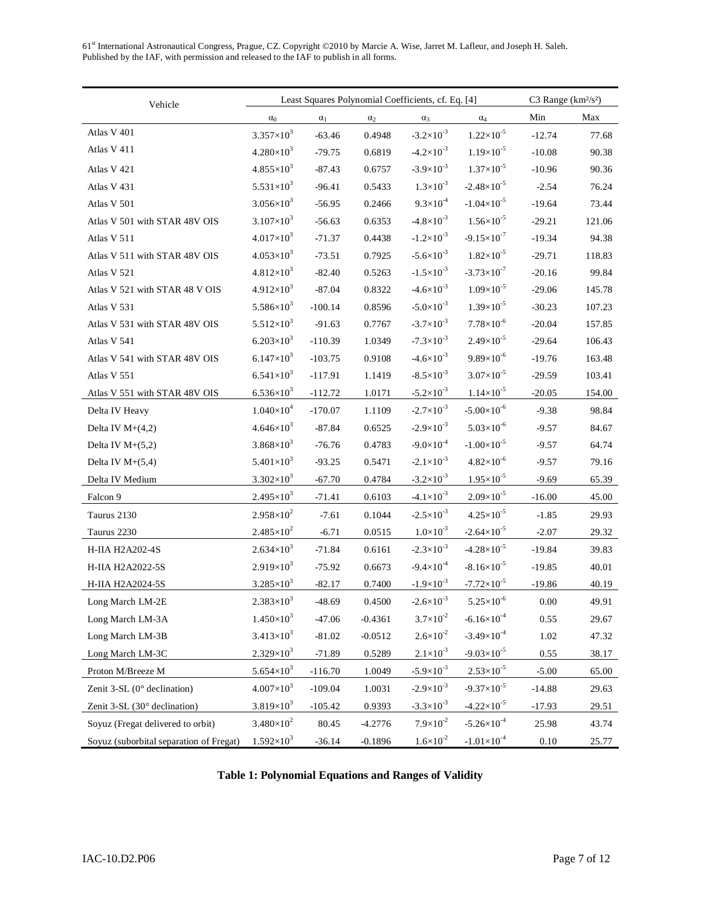| Least Squares Polynomial Coefficients, cf. Eq. [4]<br>Vehicle |                                |            |            |                       |                        | C3 Range $(km^2/s^2)$ |        |
|---------------------------------------------------------------|--------------------------------|------------|------------|-----------------------|------------------------|-----------------------|--------|
|                                                               | $\alpha_0$                     | $\alpha_1$ | $\alpha_2$ | $\alpha_3$            | $\alpha_4$             | Min                   | Max    |
| Atlas V 401                                                   | $3.357\times10^{3}$            | $-63.46$   | 0.4948     | $-3.2 \times 10^{-3}$ | $1.22\times10^{-5}$    | $-12.74$              | 77.68  |
| Atlas V 411                                                   | $4.280\times10^{3}$            | $-79.75$   | 0.6819     | $-4.2 \times 10^{-3}$ | $1.19\times10^{-5}$    | $-10.08$              | 90.38  |
| Atlas V 421                                                   | $4.855\times10^{3}$            | $-87.43$   | 0.6757     | $-3.9\times10^{-3}$   | $1.37\times10^{-5}$    | $-10.96$              | 90.36  |
| Atlas V 431                                                   | 5.531×10 <sup>3</sup>          | $-96.41$   | 0.5433     | $1.3 \times 10^{-3}$  | $-2.48 \times 10^{-5}$ | $-2.54$               | 76.24  |
| Atlas V 501                                                   | $3.056\times10^{3}$            | $-56.95$   | 0.2466     | $9.3 \times 10^{-4}$  | $-1.04\times10^{-5}$   | $-19.64$              | 73.44  |
| Atlas V 501 with STAR 48V OIS                                 | $3.107\times10^{3}$            | $-56.63$   | 0.6353     | $-4.8 \times 10^{-3}$ | $1.56\times10^{-5}$    | $-29.21$              | 121.06 |
| Atlas V 511                                                   | $4.017\times10^{3}$            | $-71.37$   | 0.4438     | $-1.2\times10^{-3}$   | $-9.15 \times 10^{-7}$ | $-19.34$              | 94.38  |
| Atlas V 511 with STAR 48V OIS                                 | $4.053\times10^{3}$            | $-73.51$   | 0.7925     | $-5.6 \times 10^{-3}$ | $1.82\times10^{-5}$    | $-29.71$              | 118.83 |
| Atlas V 521                                                   | $4.812\times10^{3}$            | $-82.40$   | 0.5263     | $-1.5\times10^{-3}$   | $-3.73\times10^{-7}$   | $-20.16$              | 99.84  |
| Atlas V 521 with STAR 48 V OIS                                | $4.912\times10^{3}$            | $-87.04$   | 0.8322     | $-4.6 \times 10^{-3}$ | $1.09\times10^{-5}$    | $-29.06$              | 145.78 |
| Atlas V 531                                                   | 5.586 $\times$ 10 <sup>3</sup> | $-100.14$  | 0.8596     | $-5.0\times10^{-3}$   | $1.39\times10^{-5}$    | $-30.23$              | 107.23 |
| Atlas V 531 with STAR 48V OIS                                 | $5.512\times10^{3}$            | $-91.63$   | 0.7767     | $-3.7\times10^{-3}$   | $7.78\times10^{-6}$    | $-20.04$              | 157.85 |
| Atlas V 541                                                   | $6.203\times10^{3}$            | $-110.39$  | 1.0349     | $-7.3 \times 10^{-3}$ | $2.49\times10^{-5}$    | $-29.64$              | 106.43 |
| Atlas V 541 with STAR 48V OIS                                 | $6.147\times10^{3}$            | $-103.75$  | 0.9108     | $-4.6 \times 10^{-3}$ | $9.89\times10^{-6}$    | $-19.76$              | 163.48 |
| Atlas V 551                                                   | $6.541\times10^{3}$            | $-117.91$  | 1.1419     | $-8.5 \times 10^{-3}$ | $3.07\times10^{-5}$    | $-29.59$              | 103.41 |
| Atlas V 551 with STAR 48V OIS                                 | $6.536\times10^{3}$            | $-112.72$  | 1.0171     | $-5.2\times10^{-3}$   | $1.14 \times 10^{-5}$  | $-20.05$              | 154.00 |
| Delta IV Heavy                                                | $1.040\times10^{4}$            | $-170.07$  | 1.1109     | $-2.7\times10^{-3}$   | $-5.00\times10^{-6}$   | $-9.38$               | 98.84  |
| Delta IV $M+(4,2)$                                            | $4.646\times10^{3}$            | $-87.84$   | 0.6525     | $-2.9\times10^{-3}$   | $5.03\times10^{-6}$    | $-9.57$               | 84.67  |
| Delta IV $M+(5,2)$                                            | $3.868\times10^{3}$            | $-76.76$   | 0.4783     | $-9.0\times10^{-4}$   | $-1.00\times10^{-5}$   | $-9.57$               | 64.74  |
| Delta IV $M+(5,4)$                                            | $5.401\times10^{3}$            | $-93.25$   | 0.5471     | $-2.1 \times 10^{-3}$ | $4.82\times10^{-6}$    | $-9.57$               | 79.16  |
| Delta IV Medium                                               | $3.302\times10^{3}$            | $-67.70$   | 0.4784     | $-3.2\times10^{-3}$   | $1.95 \times 10^{-5}$  | $-9.69$               | 65.39  |
| Falcon 9                                                      | $2.495 \times 10^3$            | $-71.41$   | 0.6103     | $-4.1 \times 10^{-3}$ | $2.09\times10^{-5}$    | $-16.00$              | 45.00  |
| Taurus 2130                                                   | $2.958\times10^{2}$            | $-7.61$    | 0.1044     | $-2.5 \times 10^{-3}$ | $4.25 \times 10^{-5}$  | $-1.85$               | 29.93  |
| Taurus 2230                                                   | $2.485 \times 10^{2}$          | $-6.71$    | 0.0515     | $1.0\times10^{-3}$    | $-2.64 \times 10^{-5}$ | $-2.07$               | 29.32  |
| H-IIA H2A202-4S                                               | $2.634\times10^{3}$            | $-71.84$   | 0.6161     | $-2.3\times10^{-3}$   | $-4.28 \times 10^{-5}$ | $-19.84$              | 39.83  |
| H-IIA H2A2022-5S                                              | $2.919\times10^{3}$            | $-75.92$   | 0.6673     | $-9.4 \times 10^{-4}$ | $-8.16\times10^{-5}$   | $-19.85$              | 40.01  |
| H-IIA H2A2024-5S                                              | $3.285 \times 10^3$            | $-82.17$   | 0.7400     | $-1.9\times10^{-3}$   | $-7.72\times10^{-5}$   | $-19.86$              | 40.19  |
| Long March LM-2E                                              | $2.383\times10^{3}$            | $-48.69$   | 0.4500     | $-2.6\times10^{-3}$   | $5.25 \times 10^{-6}$  | $0.00\,$              | 49.91  |
| Long March LM-3A                                              | $1.450\times10^{3}$            | $-47.06$   | $-0.4361$  | $3.7 \times 10^{-2}$  | $-6.16\times10^{-4}$   | 0.55                  | 29.67  |
| Long March LM-3B                                              | $3.413\times10^{3}$            | $-81.02$   | $-0.0512$  | $2.6 \times 10^{-2}$  | $-3.49\times10^{-4}$   | $1.02\,$              | 47.32  |
| Long March LM-3C                                              | $2.329\times10^{3}$            | $-71.89$   | 0.5289     | $2.1 \times 10^{-3}$  | $-9.03\times10^{-5}$   | 0.55                  | 38.17  |
| Proton M/Breeze M                                             | $5.654\times10^{3}$            | $-116.70$  | 1.0049     | $-5.9\times10^{-3}$   | $2.53\times10^{-5}$    | $-5.00$               | 65.00  |
| Zenit 3-SL $(0^{\circ}$ declination)                          | $4.007\times10^{3}$            | $-109.04$  | 1.0031     | $-2.9\times10^{-3}$   | $-9.37\times10^{-5}$   | $-14.88$              | 29.63  |
| Zenit 3-SL (30° declination)                                  | $3.819\times10^{3}$            | $-105.42$  | 0.9393     | $-3.3 \times 10^{-3}$ | $-4.22 \times 10^{-5}$ | $-17.93$              | 29.51  |
| Soyuz (Fregat delivered to orbit)                             | $3.480\times10^{2}$            | 80.45      | $-4.2776$  | $7.9 \times 10^{-2}$  | $-5.26 \times 10^{-4}$ | 25.98                 | 43.74  |
| Soyuz (suborbital separation of Fregat)                       | $1.592\times10^{3}$            | $-36.14$   | $-0.1896$  | $1.6 \times 10^{-2}$  | $-1.01\times10^{-4}$   | 0.10                  | 25.77  |

# **Table 1: Polynomial Equations and Ranges of Validity**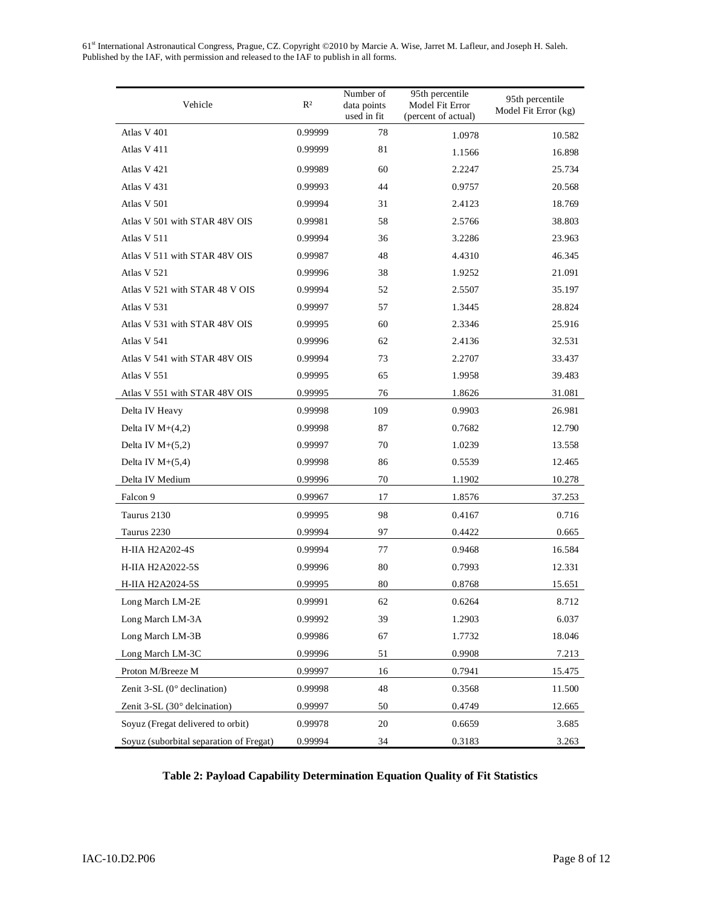| Vehicle                                 | $R^2$   | Number of<br>data points<br>used in fit | 95th percentile<br>Model Fit Error<br>(percent of actual) | 95th percentile<br>Model Fit Error (kg) |  |
|-----------------------------------------|---------|-----------------------------------------|-----------------------------------------------------------|-----------------------------------------|--|
| Atlas V 401                             | 0.99999 | 78                                      | 1.0978                                                    | 10.582                                  |  |
| Atlas V 411                             | 0.99999 | 81                                      | 1.1566                                                    | 16.898                                  |  |
| Atlas V 421                             | 0.99989 | 60                                      | 2.2247                                                    | 25.734                                  |  |
| Atlas V 431                             | 0.99993 | 44                                      | 0.9757                                                    | 20.568                                  |  |
| Atlas V 501                             | 0.99994 | 31                                      | 2.4123                                                    | 18.769                                  |  |
| Atlas V 501 with STAR 48V OIS           | 0.99981 | 58                                      | 2.5766                                                    | 38.803                                  |  |
| Atlas V 511                             | 0.99994 | 36                                      | 3.2286                                                    | 23.963                                  |  |
| Atlas V 511 with STAR 48V OIS           | 0.99987 | 48                                      | 4.4310                                                    | 46.345                                  |  |
| Atlas V 521                             | 0.99996 | 38                                      | 1.9252                                                    | 21.091                                  |  |
| Atlas V 521 with STAR 48 V OIS          | 0.99994 | 52                                      | 2.5507                                                    | 35.197                                  |  |
| Atlas V 531                             | 0.99997 | 57                                      | 1.3445                                                    | 28.824                                  |  |
| Atlas V 531 with STAR 48V OIS           | 0.99995 | 60                                      | 2.3346                                                    | 25.916                                  |  |
| Atlas V 541                             | 0.99996 | 62                                      | 2.4136                                                    | 32.531                                  |  |
| Atlas V 541 with STAR 48V OIS           | 0.99994 | 73                                      | 2.2707                                                    | 33.437                                  |  |
| Atlas V 551                             | 0.99995 | 65                                      | 1.9958                                                    | 39.483                                  |  |
| Atlas V 551 with STAR 48V OIS           | 0.99995 | 76                                      | 1.8626                                                    | 31.081                                  |  |
| Delta IV Heavy                          | 0.99998 | 109                                     | 0.9903                                                    | 26.981                                  |  |
| Delta IV $M+(4,2)$                      | 0.99998 | 87                                      | 0.7682                                                    | 12.790                                  |  |
| Delta IV $M+(5,2)$                      | 0.99997 | 70                                      | 1.0239                                                    | 13.558                                  |  |
| Delta IV $M+(5,4)$                      | 0.99998 | 86                                      | 0.5539                                                    | 12.465                                  |  |
| Delta IV Medium                         | 0.99996 | 70                                      | 1.1902                                                    | 10.278                                  |  |
| Falcon 9                                | 0.99967 | 17                                      | 1.8576                                                    | 37.253                                  |  |
| Taurus 2130                             | 0.99995 | 98                                      | 0.4167                                                    | 0.716                                   |  |
| Taurus 2230                             | 0.99994 | 97                                      | 0.4422                                                    | 0.665                                   |  |
| H-IIA H2A202-4S                         | 0.99994 | 77                                      | 0.9468                                                    | 16.584                                  |  |
| H-IIA H2A2022-5S                        | 0.99996 | 80                                      | 0.7993                                                    | 12.331                                  |  |
| H-IIA H2A2024-5S                        | 0.99995 | 80                                      | 0.8768                                                    | 15.651                                  |  |
| Long March LM-2E                        | 0.99991 | 62                                      | 0.6264                                                    | 8.712                                   |  |
| Long March LM-3A                        | 0.99992 | 39                                      | 1.2903                                                    | 6.037                                   |  |
| Long March LM-3B                        | 0.99986 | 67                                      | 1.7732                                                    | 18.046                                  |  |
| Long March LM-3C                        | 0.99996 | 51                                      | 0.9908                                                    | 7.213                                   |  |
| Proton M/Breeze M                       | 0.99997 | 16                                      | 0.7941                                                    | 15.475                                  |  |
| Zenit $3-SL$ (0 $\degree$ declination)  | 0.99998 | 48                                      | 0.3568                                                    | 11.500                                  |  |
| Zenit 3-SL (30° delcination)            | 0.99997 | 50                                      | 0.4749                                                    | 12.665                                  |  |
| Soyuz (Fregat delivered to orbit)       | 0.99978 | 20                                      | 0.6659                                                    | 3.685                                   |  |
| Soyuz (suborbital separation of Fregat) | 0.99994 | 34                                      | 0.3183                                                    | 3.263                                   |  |

# **Table 2: Payload Capability Determination Equation Quality of Fit Statistics**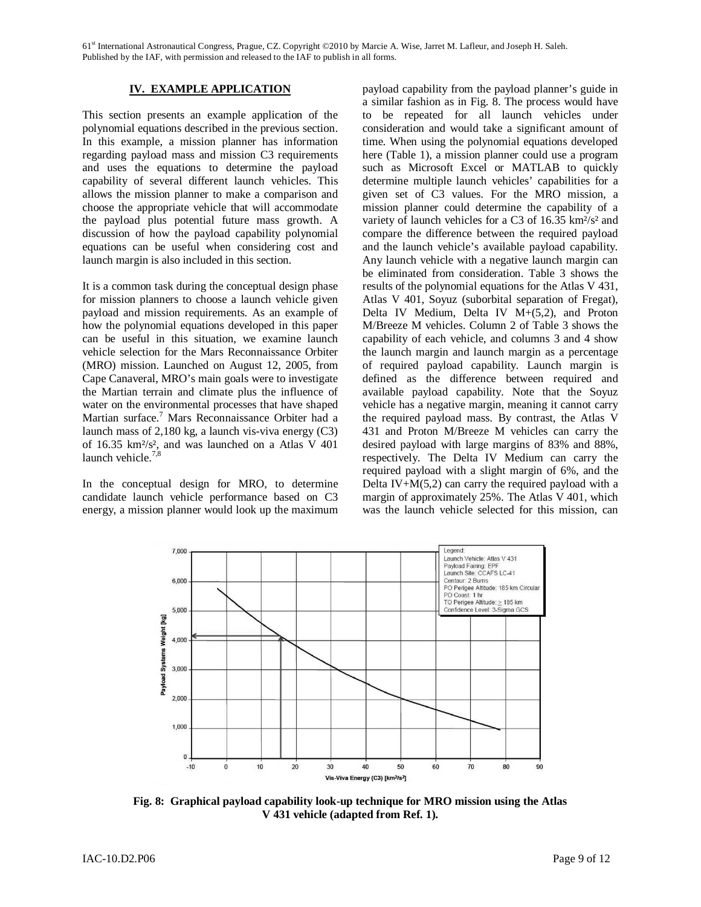## **IV. EXAMPLE APPLICATION**

This section presents an example application of the polynomial equations described in the previous section. In this example, a mission planner has information regarding payload mass and mission C3 requirements and uses the equations to determine the payload capability of several different launch vehicles. This allows the mission planner to make a comparison and choose the appropriate vehicle that will accommodate the payload plus potential future mass growth. A discussion of how the payload capability polynomial equations can be useful when considering cost and launch margin is also included in this section.

It is a common task during the conceptual design phase for mission planners to choose a launch vehicle given payload and mission requirements. As an example of how the polynomial equations developed in this paper can be useful in this situation, we examine launch vehicle selection for the Mars Reconnaissance Orbiter (MRO) mission. Launched on August 12, 2005, from Cape Canaveral, MRO's main goals were to investigate the Martian terrain and climate plus the influence of water on the environmental processes that have shaped Martian surface.<sup>7</sup> Mars Reconnaissance Orbiter had a launch mass of 2,180 kg, a launch vis-viva energy (C3) of 16.35 km²/s², and was launched on a Atlas V 401 launch vehicle.<sup>7,8</sup>

In the conceptual design for MRO, to determine candidate launch vehicle performance based on C3 energy, a mission planner would look up the maximum

payload capability from the payload planner's guide in a similar fashion as in Fig. 8. The process would have to be repeated for all launch vehicles under consideration and would take a significant amount of time. When using the polynomial equations developed here (Table 1), a mission planner could use a program such as Microsoft Excel or MATLAB to quickly determine multiple launch vehicles' capabilities for a given set of C3 values. For the MRO mission, a mission planner could determine the capability of a variety of launch vehicles for a C3 of 16.35 km²/s² and compare the difference between the required payload and the launch vehicle's available payload capability. Any launch vehicle with a negative launch margin can be eliminated from consideration. Table 3 shows the results of the polynomial equations for the Atlas V 431, Atlas V 401, Soyuz (suborbital separation of Fregat), Delta IV Medium, Delta IV M+(5,2), and Proton M/Breeze M vehicles. Column 2 of Table 3 shows the capability of each vehicle, and columns 3 and 4 show the launch margin and launch margin as a percentage of required payload capability. Launch margin is defined as the difference between required and available payload capability. Note that the Soyuz vehicle has a negative margin, meaning it cannot carry the required payload mass. By contrast, the Atlas V 431 and Proton M/Breeze M vehicles can carry the desired payload with large margins of 83% and 88%, respectively. The Delta IV Medium can carry the required payload with a slight margin of 6%, and the Delta IV+ $M(5,2)$  can carry the required payload with a margin of approximately 25%. The Atlas V 401, which was the launch vehicle selected for this mission, can



**Fig. 8: Graphical payload capability look-up technique for MRO mission using the Atlas V 431 vehicle (adapted from Ref. 1).**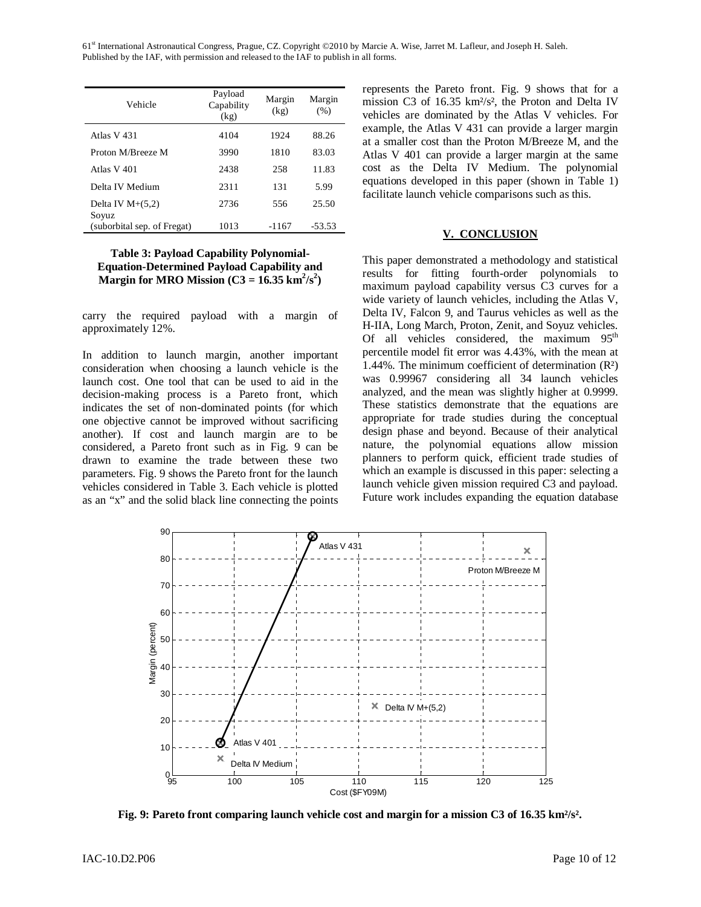| Vehicle                              | Payload<br>Capability<br>(kg) | Margin<br>(kg) | Margin<br>(% ) |
|--------------------------------------|-------------------------------|----------------|----------------|
| Atlas V 431                          | 4104                          | 1924           | 88.26          |
| Proton M/Breeze M                    | 3990                          | 1810           | 83.03          |
| Atlas V 401                          | 2438                          | 258            | 11.83          |
| Delta IV Medium                      | 2311                          | 131            | 5.99           |
| Delta IV $M+(5,2)$                   | 2736                          | 556            | 25.50          |
| Soyuz<br>(suborbital sep. of Fregat) | 1013                          | $-1167$        | $-53.53$       |

## **Table 3: Payload Capability Polynomial-Equation-Determined Payload Capability and Margin for MRO Mission** ( $C3 = 16.35$  km<sup>2</sup>/s<sup>2</sup>)

carry the required payload with a margin of approximately 12%.

In addition to launch margin, another important consideration when choosing a launch vehicle is the launch cost. One tool that can be used to aid in the decision-making process is a Pareto front, which indicates the set of non-dominated points (for which one objective cannot be improved without sacrificing another). If cost and launch margin are to be considered, a Pareto front such as in Fig. 9 can be drawn to examine the trade between these two parameters. Fig. 9 shows the Pareto front for the launch vehicles considered in Table 3. Each vehicle is plotted as an "x" and the solid black line connecting the points represents the Pareto front. Fig. 9 shows that for a mission C3 of 16.35 km²/s², the Proton and Delta IV vehicles are dominated by the Atlas V vehicles. For example, the Atlas V 431 can provide a larger margin at a smaller cost than the Proton M/Breeze M, and the Atlas V 401 can provide a larger margin at the same cost as the Delta IV Medium. The polynomial equations developed in this paper (shown in Table 1) facilitate launch vehicle comparisons such as this.

### **V. CONCLUSION**

This paper demonstrated a methodology and statistical results for fitting fourth-order polynomials to maximum payload capability versus C3 curves for a wide variety of launch vehicles, including the Atlas V, Delta IV, Falcon 9, and Taurus vehicles as well as the H-IIA, Long March, Proton, Zenit, and Soyuz vehicles. Of all vehicles considered, the maximum  $95<sup>th</sup>$ percentile model fit error was 4.43%, with the mean at 1.44%. The minimum coefficient of determination (R²) was 0.99967 considering all 34 launch vehicles analyzed, and the mean was slightly higher at 0.9999. These statistics demonstrate that the equations are appropriate for trade studies during the conceptual design phase and beyond. Because of their analytical nature, the polynomial equations allow mission planners to perform quick, efficient trade studies of which an example is discussed in this paper: selecting a launch vehicle given mission required C3 and payload. Future work includes expanding the equation database



**Fig. 9: Pareto front comparing launch vehicle cost and margin for a mission C3 of 16.35 km²/s².**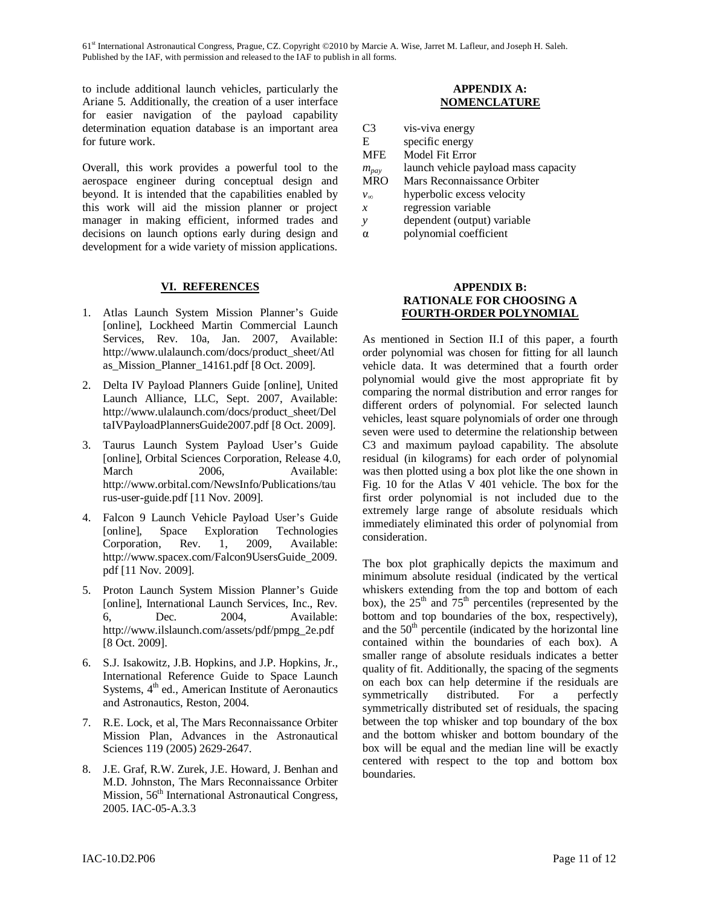to include additional launch vehicles, particularly the Ariane 5. Additionally, the creation of a user interface for easier navigation of the payload capability determination equation database is an important area for future work.

Overall, this work provides a powerful tool to the aerospace engineer during conceptual design and beyond. It is intended that the capabilities enabled by this work will aid the mission planner or project manager in making efficient, informed trades and decisions on launch options early during design and development for a wide variety of mission applications.

### **VI. REFERENCES**

- 1. Atlas Launch System Mission Planner's Guide [online], Lockheed Martin Commercial Launch Services, Rev. 10a, Jan. 2007, Available: http://www.ulalaunch.com/docs/product\_sheet/Atl as\_Mission\_Planner\_14161.pdf [8 Oct. 2009].
- 2. Delta IV Payload Planners Guide [online], United Launch Alliance, LLC, Sept. 2007, Available: http://www.ulalaunch.com/docs/product\_sheet/Del taIVPayloadPlannersGuide2007.pdf [8 Oct. 2009].
- 3. Taurus Launch System Payload User's Guide [online], Orbital Sciences Corporation, Release 4.0, March 2006, Available: http://www.orbital.com/NewsInfo/Publications/tau rus-user-guide.pdf [11 Nov. 2009].
- 4. Falcon 9 Launch Vehicle Payload User's Guide [online], Space Exploration Technologies Corporation, Rev. 1, 2009, Available: http://www.spacex.com/Falcon9UsersGuide\_2009. pdf [11 Nov. 2009].
- 5. Proton Launch System Mission Planner's Guide [online], International Launch Services, Inc., Rev. 6, Dec. 2004, Available: http://www.ilslaunch.com/assets/pdf/pmpg\_2e.pdf [8 Oct. 2009].
- 6. S.J. Isakowitz, J.B. Hopkins, and J.P. Hopkins, Jr., International Reference Guide to Space Launch Systems,  $4<sup>th</sup>$  ed., American Institute of Aeronautics and Astronautics, Reston, 2004.
- 7. R.E. Lock, et al, The Mars Reconnaissance Orbiter Mission Plan, Advances in the Astronautical Sciences 119 (2005) 2629-2647.
- 8. J.E. Graf, R.W. Zurek, J.E. Howard, J. Benhan and M.D. Johnston, The Mars Reconnaissance Orbiter Mission, 56<sup>th</sup> International Astronautical Congress, 2005. IAC-05-A.3.3

# **APPENDIX A: NOMENCLATURE**

| C3            | vis-viva energy                      |
|---------------|--------------------------------------|
| E             | specific energy                      |
| <b>MFE</b>    | Model Fit Error                      |
| $m_{pay}$     | launch vehicle payload mass capacity |
| <b>MRO</b>    | Mars Reconnaissance Orbiter          |
| $v_{\infty}$  | hyperbolic excess velocity           |
| $\mathcal{X}$ | regression variable                  |
| ν             | dependent (output) variable          |
| α             | polynomial coefficient               |

## **APPENDIX B: RATIONALE FOR CHOOSING A FOURTH-ORDER POLYNOMIAL**

As mentioned in Section II.I of this paper, a fourth order polynomial was chosen for fitting for all launch vehicle data. It was determined that a fourth order polynomial would give the most appropriate fit by comparing the normal distribution and error ranges for different orders of polynomial. For selected launch vehicles, least square polynomials of order one through seven were used to determine the relationship between C3 and maximum payload capability. The absolute residual (in kilograms) for each order of polynomial was then plotted using a box plot like the one shown in Fig. 10 for the Atlas V 401 vehicle. The box for the first order polynomial is not included due to the extremely large range of absolute residuals which immediately eliminated this order of polynomial from consideration.

The box plot graphically depicts the maximum and minimum absolute residual (indicated by the vertical whiskers extending from the top and bottom of each box), the  $25<sup>th</sup>$  and  $75<sup>th</sup>$  percentiles (represented by the bottom and top boundaries of the box, respectively), and the  $50<sup>th</sup>$  percentile (indicated by the horizontal line contained within the boundaries of each box). A smaller range of absolute residuals indicates a better quality of fit. Additionally, the spacing of the segments on each box can help determine if the residuals are symmetrically distributed. For a perfectly symmetrically distributed set of residuals, the spacing between the top whisker and top boundary of the box and the bottom whisker and bottom boundary of the box will be equal and the median line will be exactly centered with respect to the top and bottom box boundaries.